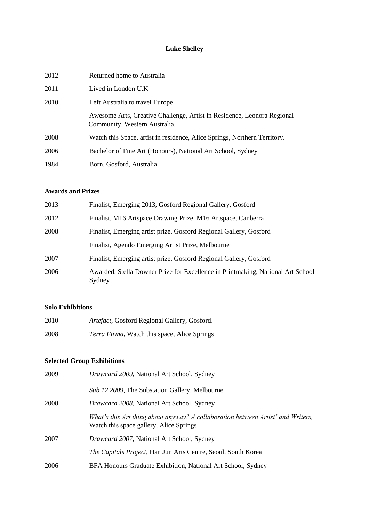# **Luke Shelley**

| 2012 | Returned home to Australia                                                                               |
|------|----------------------------------------------------------------------------------------------------------|
| 2011 | Lived in London $U.K$                                                                                    |
| 2010 | Left Australia to travel Europe                                                                          |
|      | Awesome Arts, Creative Challenge, Artist in Residence, Leonora Regional<br>Community, Western Australia. |
| 2008 | Watch this Space, artist in residence, Alice Springs, Northern Territory.                                |
| 2006 | Bachelor of Fine Art (Honours), National Art School, Sydney                                              |
| 1984 | Born, Gosford, Australia                                                                                 |

# **Awards and Prizes**

| 2013 | Finalist, Emerging 2013, Gosford Regional Gallery, Gosford                                |
|------|-------------------------------------------------------------------------------------------|
| 2012 | Finalist, M16 Artspace Drawing Prize, M16 Artspace, Canberra                              |
| 2008 | Finalist, Emerging artist prize, Gosford Regional Gallery, Gosford                        |
|      | Finalist, Agendo Emerging Artist Prize, Melbourne                                         |
| 2007 | Finalist, Emerging artist prize, Gosford Regional Gallery, Gosford                        |
| 2006 | Awarded, Stella Downer Prize for Excellence in Printmaking, National Art School<br>Sydney |

#### **Solo Exhibitions**

| 2010 | Artefact, Gosford Regional Gallery, Gosford.         |
|------|------------------------------------------------------|
| 2008 | <i>Terra Firma</i> , Watch this space, Alice Springs |

# **Selected Group Exhibitions**

| 2009 | <i>Drawcard 2009</i> , National Art School, Sydney                                                                          |
|------|-----------------------------------------------------------------------------------------------------------------------------|
|      | Sub 12 2009, The Substation Gallery, Melbourne                                                                              |
| 2008 | <i>Drawcard 2008</i> , National Art School, Sydney                                                                          |
|      | What's this Art thing about anyway? A collaboration between Artist' and Writers,<br>Watch this space gallery, Alice Springs |
| 2007 | <i>Drawcard 2007</i> , National Art School, Sydney                                                                          |
|      | The Capitals Project, Han Jun Arts Centre, Seoul, South Korea                                                               |
| 2006 | BFA Honours Graduate Exhibition, National Art School, Sydney                                                                |